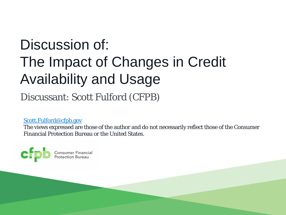# Discussion of: The Impact of Changes in Credit Availability and Usage

Discussant: Scott Fulford (CFPB)

[Scott.Fulford@cfpb.gov](mailto:Scott.Fulford@cfpb.gov)

The views expressed are those of the author and do not necessarily reflect those of the Consumer Financial Protection Bureau or the United States.

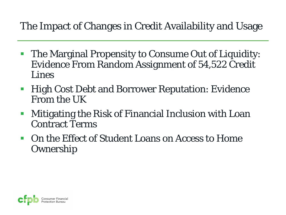#### The Impact of Changes in Credit Availability and Usage

- **The Marginal Propensity to Consume Out of Liquidity:** Evidence From Random Assignment of 54,522 Credit Lines
- **High Cost Debt and Borrower Reputation: Evidence** From the UK
- Mitigating the Risk of Financial Inclusion with Loan Contract Terms
- On the Effect of Student Loans on Access to Home **Ownership**

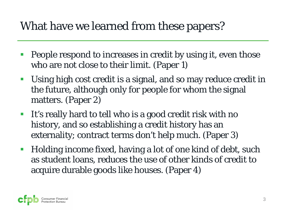### What have we learned from these papers?

- People respond to increases in credit by using it, even those who are not close to their limit. (Paper 1)
- Using high cost credit is a signal, and so may reduce credit in the future, although only for people for whom the signal matters. (Paper 2)
- It's really hard to tell who is a good credit risk with no history, and so establishing a credit history has an externality; contract terms don't help much. (Paper 3)
- **Holding income fixed, having a lot of one kind of debt, such** as student loans, reduces the use of other kinds of credit to acquire durable goods like houses. (Paper 4)

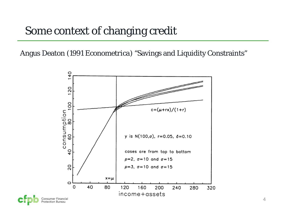Angus Deaton (1991 *Econometrica*) "Savings and Liquidity Constraints"

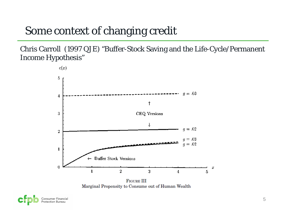Chris Carroll (1997 QJE) "Buffer-Stock Saving and the Life-Cycle/Permanent Income Hypothesis"



**FIGURE III** Marginal Propensity to Consume out of Human Wealth

Consumer Financial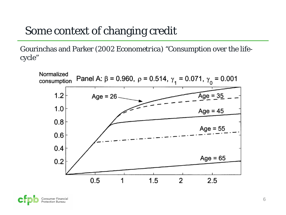Gourinchas and Parker (2002 *Econometrica*) "Consumption over the lifecycle"



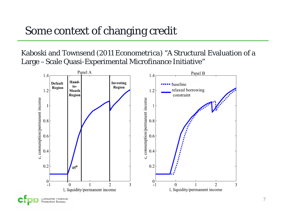Kaboski and Townsend (2011 *Econometrica*) "A Structural Evaluation of a Large –Scale Quasi-Experimental Microfinance Initiative"

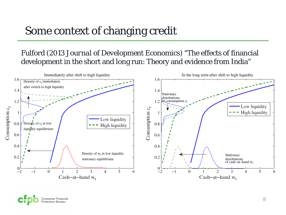#### Fulford (2013 *Journal of Development Economics*) "The effects of financial development in the short and long run: Theory and evidence from India"



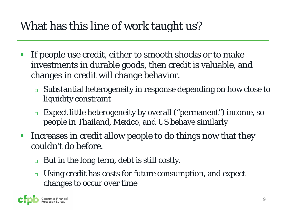## What has this line of work taught us?

- If people use credit, either to smooth shocks or to make investments in durable goods, then credit is valuable, and changes in credit will change behavior.
	- $\Box$  Substantial heterogeneity in response depending on how close to liquidity constraint
	- Expect little heterogeneity by overall ("permanent") income, so people in Thailand, Mexico, and US behave similarly
- Increases in credit allow people to do things now that they couldn't do before.
	- $\Box$  But in the long term, debt is still costly.
	- □ Using credit has costs for future consumption, and expect changes to occur over time

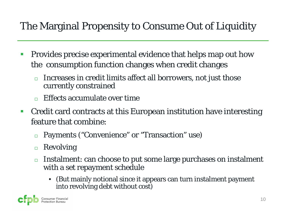#### The Marginal Propensity to Consume Out of Liquidity

- **Provides precise experimental evidence that helps map out how** the consumption function changes when credit changes
	- Increases in credit limits affect all borrowers, not just those currently constrained
	- $\Box$  Effects accumulate over time
- Credit card contracts at this European institution have interesting feature that combine:
	- □ Payments ("Convenience" or "Transaction" use)
	- $\Box$  Revolving
	- $\Box$  Instalment: can choose to put some large purchases on instalment with a set repayment schedule
		- (But mainly notional since it appears can turn instalment payment into revolving debt without cost)

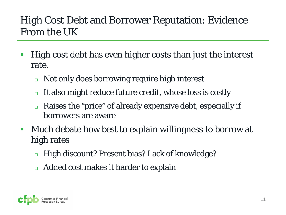#### High Cost Debt and Borrower Reputation: Evidence From the UK

- High cost debt has even higher costs than just the interest rate.
	- □ Not only does borrowing require high interest
	- $\Box$  It also might reduce future credit, whose loss is costly
	- $\Box$  Raises the "price" of already expensive debt, especially if borrowers are aware
- **Much debate how best to explain willingness to borrow at** high rates
	- High discount? Present bias? Lack of knowledge?
	- $\Box$  Added cost makes it harder to explain

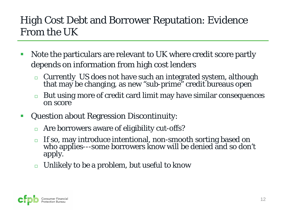#### High Cost Debt and Borrower Reputation: Evidence From the UK

- Note the particulars are relevant to UK where credit score partly depends on information from high cost lenders
	- □ Currently US does not have such an integrated system, although that may be changing, as new "sub-prime" credit bureaus open
	- $\Box$  But using more of credit card limit may have similar consequences on score
- **Question about Regression Discontinuity:** 
	- Are borrowers aware of eligibility cut-offs?
	- If so, may introduce intentional, non-smooth sorting based on who applies---some borrowers know will be denied and so don't apply.
	- Unlikely to be a problem, but useful to know

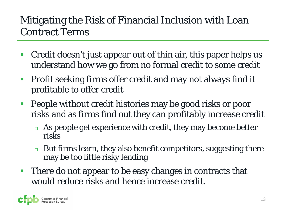#### Mitigating the Risk of Financial Inclusion with Loan Contract Terms

- Credit doesn't just appear out of thin air, this paper helps us understand how we go from no formal credit to some credit
- **Profit seeking firms offer credit and may not always find it** profitable to offer credit
- **People without credit histories may be good risks or poor** risks and as firms find out they can profitably increase credit
	- $\Box$  As people get experience with credit, they may become better risks
	- $\Box$  But firms learn, they also benefit competitors, suggesting there may be too little risky lending
- **There do not appear to be easy changes in contracts that** would reduce risks and hence increase credit.

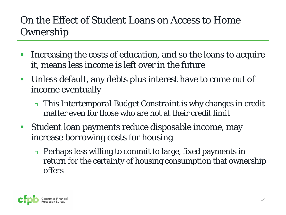#### On the Effect of Student Loans on Access to Home Ownership

- Increasing the costs of education, and so the loans to acquire it, means less income is left over in the future
- Unless default, any debts plus interest have to come out of income eventually
	- This *Intertemporal Budget Constraint* is why changes in credit matter even for those who are not at their credit limit
- Student loan payments reduce disposable income, may increase borrowing costs for housing
	- $\Box$  Perhaps less willing to commit to large, fixed payments in return for the certainty of housing consumption that ownership offers

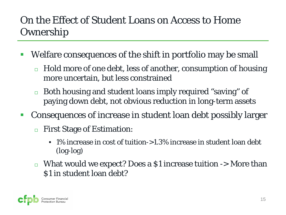#### On the Effect of Student Loans on Access to Home **Ownership**

- Welfare consequences of the shift in portfolio may be small
	- Hold more of one debt, less of another, consumption of housing more uncertain, but less constrained
	- □ Both housing and student loans imply required "saving" of paying down debt, not obvious reduction in long-term assets
- Consequences of increase in student loan debt possibly larger
	- First Stage of Estimation:
		- 1% increase in cost of tuition->1.3% increase in student loan debt (log-log)
	- $\Box$  What would we expect? Does a \$1 increase tuition  $\Box$  More than \$1 in student loan debt?

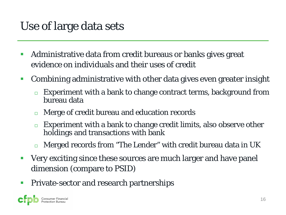#### Use of large data sets

- **Administrative data from credit bureaus or banks gives great** evidence on individuals and their uses of credit
- Combining administrative with other data gives even greater insight
	- Experiment with a bank to change contract terms, background from bureau data
	- □ Merge of credit bureau and education records
	- Experiment with a bank to change credit limits, also observe other holdings and transactions with bank
	- **n** Merged records from "The Lender" with credit bureau data in UK
- Very exciting since these sources are much larger and have panel dimension (compare to PSID)
- **Private-sector and research partnerships**